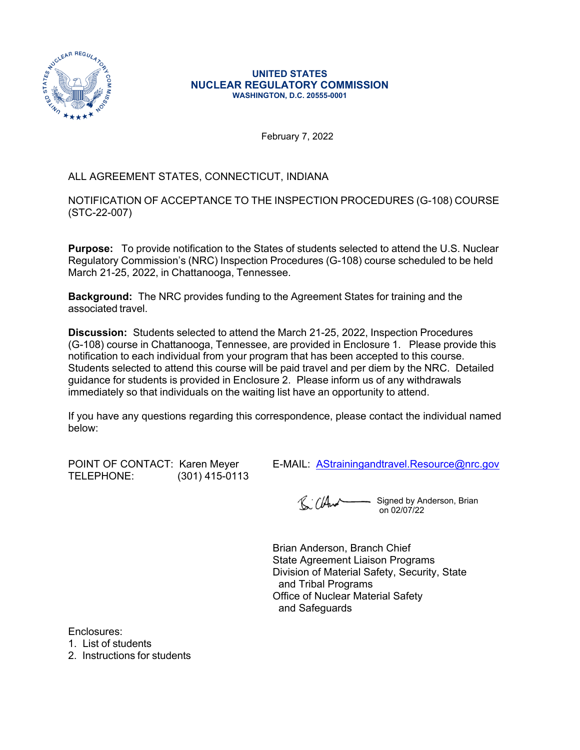

#### **UNITED STATES NUCLEAR REGULATORY COMMISSION WASHINGTON, D.C. 20555-0001**

February 7, 2022

## ALL AGREEMENT STATES, CONNECTICUT, INDIANA

NOTIFICATION OF ACCEPTANCE TO THE INSPECTION PROCEDURES (G-108) COURSE (STC-22-007)

**Purpose:** To provide notification to the States of students selected to attend the U.S. Nuclear Regulatory Commission's (NRC) Inspection Procedures (G-108) course scheduled to be held March 21-25, 2022, in Chattanooga, Tennessee.

**Background:** The NRC provides funding to the Agreement States for training and the associated travel.

**Discussion:** Students selected to attend the March 21-25, 2022, Inspection Procedures (G-108) course in Chattanooga, Tennessee, are provided in Enclosure 1. Please provide this notification to each individual from your program that has been accepted to this course. Students selected to attend this course will be paid travel and per diem by the NRC. Detailed guidance for students is provided in Enclosure 2. Please inform us of any withdrawals immediately so that individuals on the waiting list have an opportunity to attend.

If you have any questions regarding this correspondence, please contact the individual named below:

TELEPHONE: (301) 415-0113

POINT OF CONTACT: Karen Meyer E-MAIL: [AStrainingandtravel.Resource@nrc.gov](mailto:AStrainingandtravel.Resource@nrc.gov)

R. CHurch - Signed by Anderson, Brian on 02/07/22

Brian Anderson, Branch Chief State Agreement Liaison Programs Division of Material Safety, Security, State and Tribal Programs Office of Nuclear Material Safety and Safeguards

Enclosures:

1. List of students

2. Instructions for students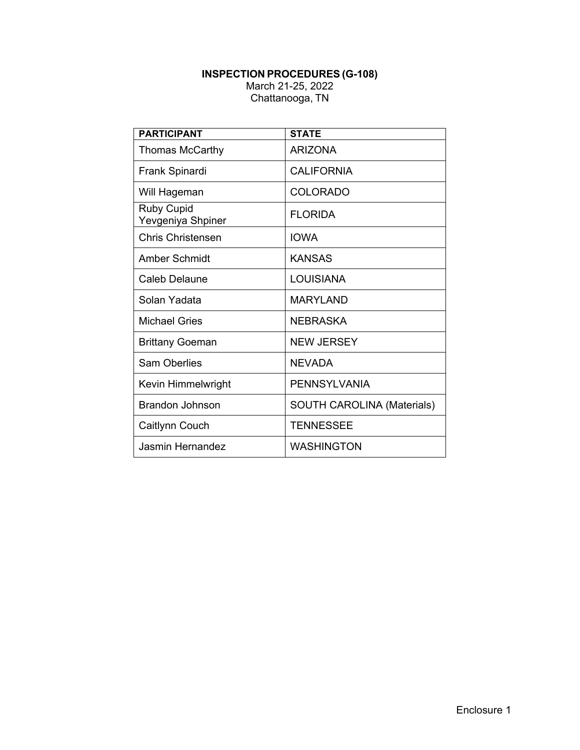#### **INSPECTION PROCEDURES (G-108)** March 21-25, 2022 Chattanooga, TN

| <b>PARTICIPANT</b>                     | <b>STATE</b>                      |  |  |
|----------------------------------------|-----------------------------------|--|--|
| Thomas McCarthy                        | <b>ARIZONA</b>                    |  |  |
| Frank Spinardi                         | <b>CALIFORNIA</b>                 |  |  |
| Will Hageman                           | <b>COLORADO</b>                   |  |  |
| <b>Ruby Cupid</b><br>Yevgeniya Shpiner | <b>FLORIDA</b>                    |  |  |
| <b>Chris Christensen</b>               | <b>IOWA</b>                       |  |  |
| Amber Schmidt                          | <b>KANSAS</b>                     |  |  |
| Caleb Delaune                          | <b>LOUISIANA</b>                  |  |  |
| Solan Yadata                           | <b>MARYLAND</b>                   |  |  |
| Michael Gries                          | <b>NEBRASKA</b>                   |  |  |
| <b>Brittany Goeman</b>                 | <b>NEW JERSEY</b>                 |  |  |
| <b>Sam Oberlies</b>                    | NEVADA                            |  |  |
| Kevin Himmelwright                     | <b>PENNSYLVANIA</b>               |  |  |
| <b>Brandon Johnson</b>                 | <b>SOUTH CAROLINA (Materials)</b> |  |  |
| Caitlynn Couch                         | <b>TENNESSEE</b>                  |  |  |
| Jasmin Hernandez                       | <b>WASHINGTON</b>                 |  |  |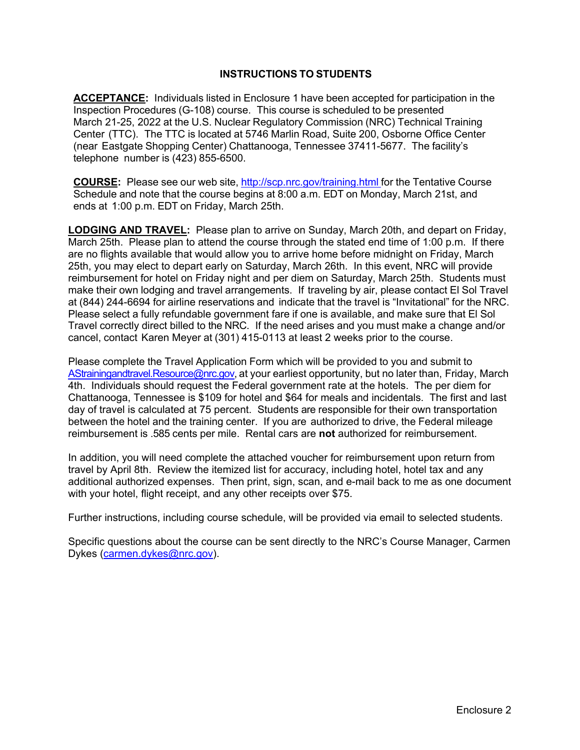### **INSTRUCTIONS TO STUDENTS**

**ACCEPTANCE:** Individuals listed in Enclosure 1 have been accepted for participation in the Inspection Procedures (G-108) course. This course is scheduled to be presented March 21-25, 2022 at the U.S. Nuclear Regulatory Commission (NRC) Technical Training Center (TTC). The TTC is located at 5746 Marlin Road, Suite 200, Osborne Office Center (near Eastgate Shopping Center) Chattanooga, Tennessee 37411-5677. The facility's telephone number is (423) 855-6500.

**COURSE:** Please see our web site, <http://scp.nrc.gov/training.html>for the Tentative Course Schedule and note that the course begins at 8:00 a.m. EDT on Monday, March 21st, and ends at 1:00 p.m. EDT on Friday, March 25th.

**LODGING AND TRAVEL:** Please plan to arrive on Sunday, March 20th, and depart on Friday, March 25th. Please plan to attend the course through the stated end time of 1:00 p.m. If there are no flights available that would allow you to arrive home before midnight on Friday, March 25th, you may elect to depart early on Saturday, March 26th. In this event, NRC will provide reimbursement for hotel on Friday night and per diem on Saturday, March 25th. Students must make their own lodging and travel arrangements. If traveling by air, please contact El Sol Travel at (844) 244-6694 for airline reservations and indicate that the travel is "Invitational" for the NRC. Please select a fully refundable government fare if one is available, and make sure that El Sol Travel correctly direct billed to the NRC. If the need arises and you must make a change and/or cancel, contact Karen Meyer at (301) 415-0113 at least 2 weeks prior to the course.

Please complete the Travel Application Form which will be provided to you and submit to [AStrainingandtravel.Resource@nrc.gov](mailto:AStrainingandtravel.Resource@nrc.gov), at your earliest opportunity, but no later than, Friday, March 4th. Individuals should request the Federal government rate at the hotels. The per diem for Chattanooga, Tennessee is \$109 for hotel and \$64 for meals and incidentals. The first and last day of travel is calculated at 75 percent. Students are responsible for their own transportation between the hotel and the training center. If you are authorized to drive, the Federal mileage reimbursement is .585 cents per mile. Rental cars are **not** authorized for reimbursement.

In addition, you will need complete the attached voucher for reimbursement upon return from travel by April 8th. Review the itemized list for accuracy, including hotel, hotel tax and any additional authorized expenses. Then print, sign, scan, and e-mail back to me as one document with your hotel, flight receipt, and any other receipts over \$75.

Further instructions, including course schedule, will be provided via email to selected students.

Specific questions about the course can be sent directly to the NRC's Course Manager, Carmen Dykes [\(carmen.dykes@nrc.gov\)](mailto:carmen.dykes@nrc.gov).